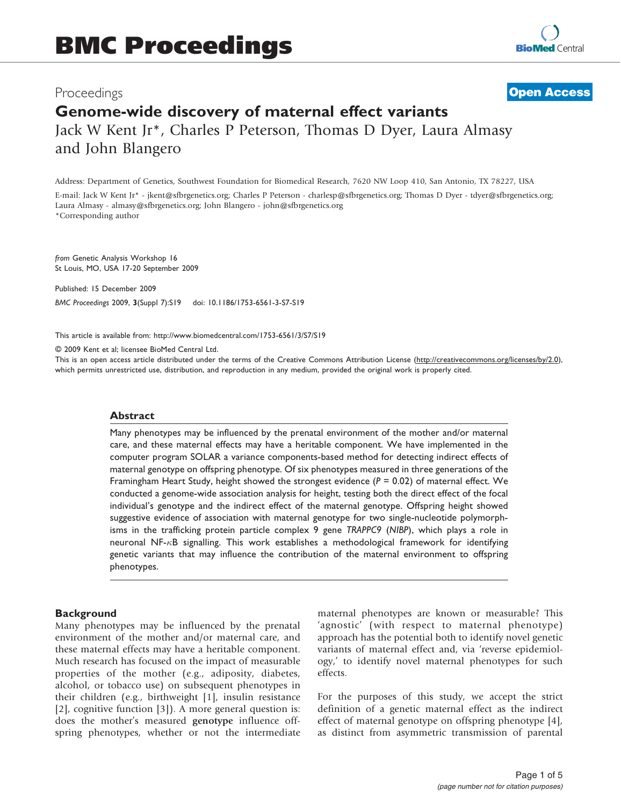# Proceedings Genome-wide discovery of maternal effect variants Jack W Kent Jr\*, Charles P Peterson, Thomas D Dyer, Laura Almasy and John Blangero **[Open Access](http://www.biomedcentral.com/info/about/charter/)**

Address: Department of Genetics, Southwest Foundation for Biomedical Research, 7620 NW Loop 410, San Antonio, TX 78227, USA

E-mail: Jack W Kent Jr\* - [jkent@sfbrgenetics.org](mailto:jkent@sfbrgenetics.org); Charles P Peterson - [charlesp@sfbrgenetics.org;](mailto:charlesp@sfbrgenetics.org) Thomas D Dyer - [tdyer@sfbrgenetics.org](mailto:tdyer@sfbrgenetics.org); Laura Almasy - [almasy@sfbrgenetics.org;](mailto:almasy@sfbrgenetics.org) John Blangero - [john@sfbrgenetics.org](mailto:john@sfbrgenetics.org) \*Corresponding author

from Genetic Analysis Workshop 16 St Louis, MO, USA 17-20 September 2009

Published: 15 December 2009 BMC Proceedings 2009, 3(Suppl 7):S19 doi: 10.1186/1753-6561-3-S7-S19

This article is available from: http://www.biomedcentral.com/1753-6561/3/S7/S19

© 2009 Kent et al; licensee BioMed Central Ltd.

This is an open access article distributed under the terms of the Creative Commons Attribution License [\(http://creativecommons.org/licenses/by/2.0\)](http://creativecommons.org/licenses/by/2.0), which permits unrestricted use, distribution, and reproduction in any medium, provided the original work is properly cited.

#### Abstract

Many phenotypes may be influenced by the prenatal environment of the mother and/or maternal care, and these maternal effects may have a heritable component. We have implemented in the computer program SOLAR a variance components-based method for detecting indirect effects of maternal genotype on offspring phenotype. Of six phenotypes measured in three generations of the Framingham Heart Study, height showed the strongest evidence  $(P = 0.02)$  of maternal effect. We conducted a genome-wide association analysis for height, testing both the direct effect of the focal individual's genotype and the indirect effect of the maternal genotype. Offspring height showed suggestive evidence of association with maternal genotype for two single-nucleotide polymorphisms in the trafficking protein particle complex 9 gene TRAPPC9 (NIBP), which plays a role in neuronal NF-<sub>K</sub>B signalling. This work establishes a methodological framework for identifying genetic variants that may influence the contribution of the maternal environment to offspring phenotypes.

#### **Background**

Many phenotypes may be influenced by the prenatal environment of the mother and/or maternal care, and these maternal effects may have a heritable component. Much research has focused on the impact of measurable properties of the mother (e.g., adiposity, diabetes, alcohol, or tobacco use) on subsequent phenotypes in their children (e.g., birthweight [[1](#page-4-0)], insulin resistance [[2](#page-4-0)], cognitive function [\[3\]](#page-4-0)). A more general question is: does the mother's measured genotype influence offspring phenotypes, whether or not the intermediate maternal phenotypes are known or measurable? This 'agnostic' (with respect to maternal phenotype) approach has the potential both to identify novel genetic variants of maternal effect and, via 'reverse epidemiology,' to identify novel maternal phenotypes for such effects.

For the purposes of this study, we accept the strict definition of a genetic maternal effect as the indirect effect of maternal genotype on offspring phenotype [[4](#page-4-0)], as distinct from asymmetric transmission of parental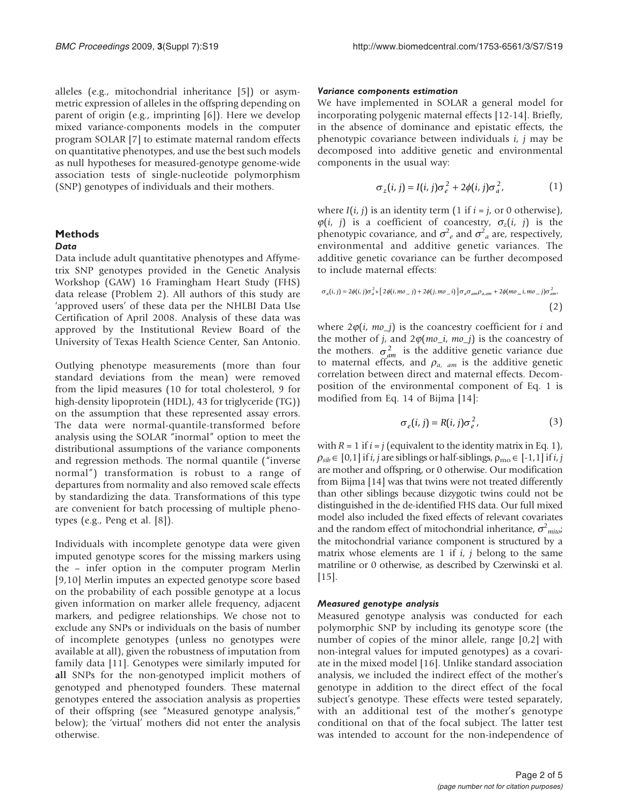alleles (e.g., mitochondrial inheritance [[5](#page-4-0)]) or asymmetric expression of alleles in the offspring depending on parent of origin (e.g., imprinting [\[6](#page-4-0)]). Here we develop mixed variance-components models in the computer program SOLAR [[7](#page-4-0)] to estimate maternal random effects on quantitative phenotypes, and use the best such models as null hypotheses for measured-genotype genome-wide association tests of single-nucleotide polymorphism (SNP) genotypes of individuals and their mothers.

#### Methods

#### Data

Data include adult quantitative phenotypes and Affymetrix SNP genotypes provided in the Genetic Analysis Workshop (GAW) 16 Framingham Heart Study (FHS) data release (Problem 2). All authors of this study are 'approved users' of these data per the NHLBI Data Use Certification of April 2008. Analysis of these data was approved by the Institutional Review Board of the University of Texas Health Science Center, San Antonio.

Outlying phenotype measurements (more than four standard deviations from the mean) were removed from the lipid measures (10 for total cholesterol, 9 for high-density lipoprotein (HDL), 43 for triglyceride (TG)) on the assumption that these represented assay errors. The data were normal-quantile-transformed before analysis using the SOLAR "inormal" option to meet the distributional assumptions of the variance components and regression methods. The normal quantile ("inverse normal") transformation is robust to a range of departures from normality and also removed scale effects by standardizing the data. Transformations of this type are convenient for batch processing of multiple phenotypes (e.g., Peng et al. [\[8\]](#page-4-0)).

Individuals with incomplete genotype data were given imputed genotype scores for the missing markers using the – infer option in the computer program Merlin [[9](#page-4-0),[10\]](#page-4-0) Merlin imputes an expected genotype score based on the probability of each possible genotype at a locus given information on marker allele frequency, adjacent markers, and pedigree relationships. We chose not to exclude any SNPs or individuals on the basis of number of incomplete genotypes (unless no genotypes were available at all), given the robustness of imputation from family data [\[11](#page-4-0)]. Genotypes were similarly imputed for all SNPs for the non-genotyped implicit mothers of genotyped and phenotyped founders. These maternal genotypes entered the association analysis as properties of their offspring (see "Measured genotype analysis," below); the 'virtual' mothers did not enter the analysis otherwise.

#### Variance components estimation

We have implemented in SOLAR a general model for incorporating polygenic maternal effects [[12-14\]](#page-4-0). Briefly, in the absence of dominance and epistatic effects, the phenotypic covariance between individuals i, j may be decomposed into additive genetic and environmental components in the usual way:

$$
\sigma_z(i,j) = I(i,j)\sigma_e^2 + 2\phi(i,j)\sigma_a^2,\tag{1}
$$

where  $I(i, j)$  is an identity term (1 if  $i = j$ , or 0 otherwise),  $\varphi(i, j)$  is a coefficient of coancestry,  $\sigma_z(i, j)$  is the phenotypic covariance, and  $\sigma^2$  and  $\sigma^2$  are, respectively, environmental and additive genetic variances. The additive genetic covariance can be further decomposed to include maternal effects:

$$
\sigma_a(i,j) = 2\phi(i,j)\sigma_a^2 + \left[2\phi(i,mo_j) + 2\phi(j,mo_i)\right]\sigma_a\sigma_{am}\rho_{a,am} + 2\phi(mo_i,mo_j)\sigma_{am}^2,
$$
\n
$$
\tag{2}
$$

where  $2\varphi(i, m\varphi_j)$  is the coancestry coefficient for i and the mother of j, and  $2\varphi(mo_i, mo_j)$  is the coancestry of the mothers.  $\sigma_{am}^2$  is the additive genetic variance due to maternal effects, and  $\rho_{a, am}$  is the additive genetic correlation between direct and maternal effects. Decomposition of the environmental component of Eq. 1 is modified from Eq. 14 of Bijma [\[14](#page-4-0)]:

$$
\sigma_e(i,j) = R(i,j)\sigma_e^2,\tag{3}
$$

with  $R = 1$  if  $i = j$  (equivalent to the identity matrix in Eq. 1),  $\rho_{sib} \in [0,1]$  if i, j are siblings or half-siblings,  $\rho_{\rm mo} \in [-1,1]$  if i, j are mother and offspring, or 0 otherwise. Our modification from Bijma [[14](#page-4-0)] was that twins were not treated differently than other siblings because dizygotic twins could not be distinguished in the de-identified FHS data. Our full mixed model also included the fixed effects of relevant covariates and the random effect of mitochondrial inheritance,  $\sigma^2_{mito}$ the mitochondrial variance component is structured by a matrix whose elements are 1 if  $i$ ,  $j$  belong to the same matriline or 0 otherwise, as described by Czerwinski et al. [\[15\]](#page-4-0).

#### Measured genotype analysis

Measured genotype analysis was conducted for each polymorphic SNP by including its genotype score (the number of copies of the minor allele, range [0,2] with non-integral values for imputed genotypes) as a covariate in the mixed model [\[16](#page-4-0)]. Unlike standard association analysis, we included the indirect effect of the mother's genotype in addition to the direct effect of the focal subject's genotype. These effects were tested separately, with an additional test of the mother's genotype conditional on that of the focal subject. The latter test was intended to account for the non-independence of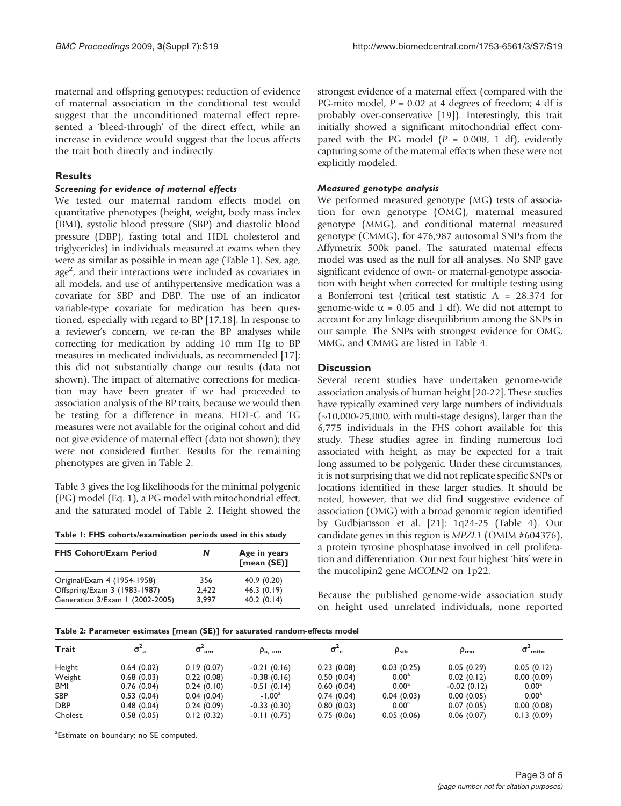maternal and offspring genotypes: reduction of evidence of maternal association in the conditional test would suggest that the unconditioned maternal effect represented a 'bleed-through' of the direct effect, while an increase in evidence would suggest that the locus affects the trait both directly and indirectly.

## Results

#### Screening for evidence of maternal effects

We tested our maternal random effects model on quantitative phenotypes (height, weight, body mass index (BMI), systolic blood pressure (SBP) and diastolic blood pressure (DBP), fasting total and HDL cholesterol and triglycerides) in individuals measured at exams when they were as similar as possible in mean age (Table 1). Sex, age, age<sup>2</sup>, and their interactions were included as covariates in all models, and use of antihypertensive medication was a covariate for SBP and DBP. The use of an indicator variable-type covariate for medication has been questioned, especially with regard to BP [\[17,18](#page-4-0)]. In response to a reviewer's concern, we re-ran the BP analyses while correcting for medication by adding 10 mm Hg to BP measures in medicated individuals, as recommended [\[17](#page-4-0)]; this did not substantially change our results (data not shown). The impact of alternative corrections for medication may have been greater if we had proceeded to association analysis of the BP traits, because we would then be testing for a difference in means. HDL-C and TG measures were not available for the original cohort and did not give evidence of maternal effect (data not shown); they were not considered further. Results for the remaining phenotypes are given in Table 2.

[Table 3](#page-3-0) gives the log likelihoods for the minimal polygenic (PG) model (Eq. 1), a PG model with mitochondrial effect, and the saturated model of Table 2. Height showed the

Table 1: FHS cohorts/examination periods used in this study

| <b>FHS Cohort/Exam Period</b>   | N     | Age in years<br>[mean (SE)] |
|---------------------------------|-------|-----------------------------|
| Original/Exam 4 (1954-1958)     | 356   | 40.9(0.20)                  |
| Offspring/Exam 3 (1983-1987)    | 2.422 | 46.3(0.19)                  |
| Generation 3/Exam 1 (2002-2005) | 3.997 | 40.2(0.14)                  |

strongest evidence of a maternal effect (compared with the PG-mito model,  $P = 0.02$  at 4 degrees of freedom; 4 df is probably over-conservative [\[19\]](#page-4-0)). Interestingly, this trait initially showed a significant mitochondrial effect compared with the PG model ( $P = 0.008$ , 1 df), evidently capturing some of the maternal effects when these were not explicitly modeled.

#### Measured genotype analysis

We performed measured genotype (MG) tests of association for own genotype (OMG), maternal measured genotype (MMG), and conditional maternal measured genotype (CMMG), for 476,987 autosomal SNPs from the Affymetrix 500k panel. The saturated maternal effects model was used as the null for all analyses. No SNP gave significant evidence of own- or maternal-genotype association with height when corrected for multiple testing using a Bonferroni test (critical test statistic Λ = 28.374 for genome-wide  $\alpha$  = 0.05 and 1 df). We did not attempt to account for any linkage disequilibrium among the SNPs in our sample. The SNPs with strongest evidence for OMG, MMG, and CMMG are listed in [Table 4](#page-3-0).

### **Discussion**

Several recent studies have undertaken genome-wide association analysis of human height [[20-22\]](#page-4-0). These studies have typically examined very large numbers of individuals  $(\sim]10,000-25,000$ , with multi-stage designs), larger than the 6,775 individuals in the FHS cohort available for this study. These studies agree in finding numerous loci associated with height, as may be expected for a trait long assumed to be polygenic. Under these circumstances, it is not surprising that we did not replicate specific SNPs or locations identified in these larger studies. It should be noted, however, that we did find suggestive evidence of association (OMG) with a broad genomic region identified by Gudbjartsson et al. [[21](#page-4-0)]: 1q24-25 [\(Table 4](#page-3-0)). Our candidate genes in this region is MPZL1 (OMIM #604376), a protein tyrosine phosphatase involved in cell proliferation and differentiation. Our next four highest 'hits' were in the mucolipin2 gene MCOLN2 on 1p22.

Because the published genome-wide association study on height used unrelated individuals, none reported

Table 2: Parameter estimates [mean (SE)] for saturated random-effects model

| Trait      |            | $\sigma$ <sub>am</sub> | $\rho_{\rm a. am}$ | σ.         | $\rho_{sib}$      | $\rho_{\text{mo}}$ | $\sigma^2_{\rm{mito}}$ |
|------------|------------|------------------------|--------------------|------------|-------------------|--------------------|------------------------|
| Height     | 0.64(0.02) | 0.19(0.07)             | $-0.21(0.16)$      | 0.23(0.08) | 0.03(0.25)        | 0.05(0.29)         | 0.05(0.12)             |
| Weight     | 0.68(0.03) | 0.22(0.08)             | $-0.38(0.16)$      | 0.50(0.04) | $0.00^{\rm a}$    | 0.02(0.12)         | 0.00(0.09)             |
| BMI        | 0.76(0.04) | 0.24(0.10)             | $-0.51(0.14)$      | 0.60(0.04) | 0.00 <sup>a</sup> | $-0.02(0.12)$      | 0.00 <sup>a</sup>      |
| <b>SBP</b> | 0.53(0.04) | 0.04(0.04)             | $-1.00a$           | 0.74(0.04) | 0.04(0.03)        | 0.00(0.05)         | $0.00^{\rm a}$         |
| <b>DBP</b> | 0.48(0.04) | 0.24(0.09)             | $-0.33(0.30)$      | 0.80(0.03) | 0.00 <sup>a</sup> | 0.07(0.05)         | 0.00(0.08)             |
| Cholest.   | 0.58(0.05) | 0.12(0.32)             | $-0.11(0.75)$      | 0.75(0.06) | 0.05(0.06)        | 0.06(0.07)         | 0.13(0.09)             |

<sup>a</sup>Estimate on boundary; no SE computed.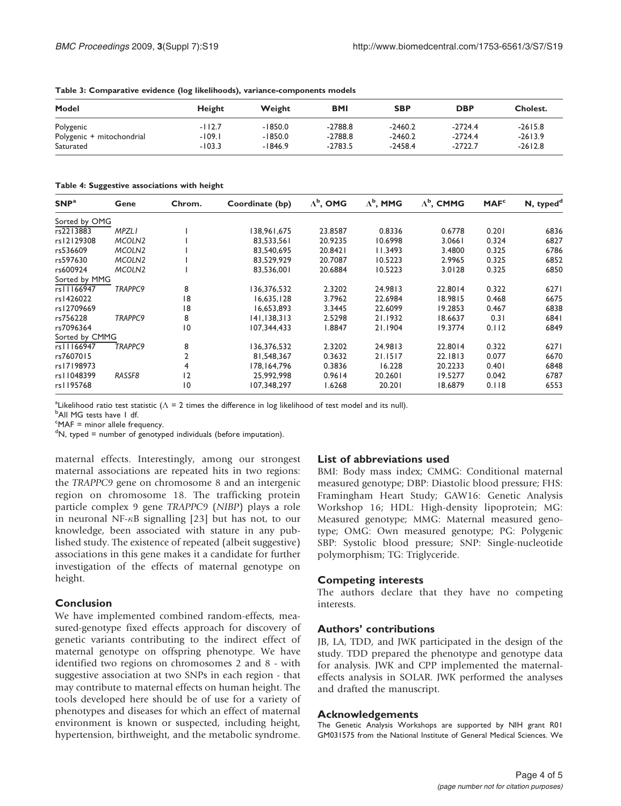| Model                     | Height   | Weight    | <b>BMI</b> | <b>SBP</b> | <b>DBP</b> | Cholest.  |
|---------------------------|----------|-----------|------------|------------|------------|-----------|
| Polygenic                 | $-112.7$ | $-1850.0$ | $-2788.8$  | $-2460.2$  | $-2724.4$  | $-2615.8$ |
| Polygenic + mitochondrial | $-109.1$ | $-1850.0$ | $-2788.8$  | $-2460.2$  | $-2724.4$  | $-2613.9$ |
| Saturated                 | $-103.3$ | $-1846.9$ | $-2783.5$  | $-2458.4$  | $-2722.7$  | $-2612.8$ |

<span id="page-3-0"></span>Table 3: Comparative evidence (log likelihoods), variance-components models

Table 4: Suggestive associations with height

| SNP <sup>a</sup> | Gene               | Chrom.          | Coordinate (bp) | $\Lambda^{\rm b}$ , OMG | $\Lambda^{\rm b}$ , MMG | $\Lambda^{\rm b}$ , CMMG | MAF <sup>c</sup> | N, typed <sup>d</sup> |
|------------------|--------------------|-----------------|-----------------|-------------------------|-------------------------|--------------------------|------------------|-----------------------|
| Sorted by OMG    |                    |                 |                 |                         |                         |                          |                  |                       |
| rs2213883        | <b>MPZLI</b>       |                 | 138,961,675     | 23.8587                 | 0.8336                  | 0.6778                   | 0.201            | 6836                  |
| rs12129308       | MCOLN <sub>2</sub> |                 | 83,533,561      | 20.9235                 | 10.6998                 | 3.0661                   | 0.324            | 6827                  |
| rs536609         | MCOLN <sub>2</sub> |                 | 83,540,695      | 20.8421                 | 11.3493                 | 3.4800                   | 0.325            | 6786                  |
| rs597630         | MCOLN <sub>2</sub> |                 | 83,529,929      | 20.7087                 | 10.5223                 | 2.9965                   | 0.325            | 6852                  |
| rs600924         | MCOLN <sub>2</sub> |                 | 83,536,001      | 20.6884                 | 10.5223                 | 3.0128                   | 0.325            | 6850                  |
| Sorted by MMG    |                    |                 |                 |                         |                         |                          |                  |                       |
| rs11166947       | TRAPPC9            | 8               | 136,376,532     | 2.3202                  | 24.9813                 | 22.8014                  | 0.322            | 6271                  |
| rs1426022        |                    | 18              | 16,635,128      | 3.7962                  | 22.6984                 | 18.9815                  | 0.468            | 6675                  |
| rs12709669       |                    | 18              | 16,653,893      | 3.3445                  | 22.6099                 | 19.2853                  | 0.467            | 6838                  |
| rs756228         | TRAPPC9            | 8               | 141,138,313     | 2.5298                  | 21.1932                 | 18.6637                  | 0.31             | 6841                  |
| rs7096364        |                    | $\overline{10}$ | 107.344.433     | 1.8847                  | 21.1904                 | 19.3774                  | 0.112            | 6849                  |
| Sorted by CMMG   |                    |                 |                 |                         |                         |                          |                  |                       |
| rs11166947       | <b>TRAPPC9</b>     | 8               | 136,376,532     | 2.3202                  | 24.9813                 | 22.8014                  | 0.322            | 6271                  |
| rs7607015        |                    |                 | 81.548.367      | 0.3632                  | 21.1517                 | 22.1813                  | 0.077            | 6670                  |
| rs17198973       |                    | 4               | 178,164,796     | 0.3836                  | 16.228                  | 20.2233                  | 0.401            | 6848                  |
| rs11048399       | RASSF8             | 12              | 25,992,998      | 0.9614                  | 20.2601                 | 19.5277                  | 0.042            | 6787                  |
| rs1195768        |                    | $\overline{10}$ | 107,348,297     | 1.6268                  | 20.201                  | 18.6879                  | 0.118            | 6553                  |

<sup>a</sup>Likelihood ratio test statistic ( $\Lambda$  = 2 times the difference in log likelihood of test model and its null).<br><sup>b</sup>All MG tests baye Ldf

<sup>b</sup>All MG tests have I df.

<sup>c</sup>MAF = minor allele frequency.

<sup>d</sup>N, typed = number of genotyped individuals (before imputation).

maternal effects. Interestingly, among our strongest maternal associations are repeated hits in two regions: the TRAPPC9 gene on chromosome 8 and an intergenic region on chromosome 18. The trafficking protein particle complex 9 gene TRAPPC9 (NIBP) plays a role in neuronal NF- $\kappa$ B signalling [\[23](#page-4-0)] but has not, to our knowledge, been associated with stature in any published study. The existence of repeated (albeit suggestive) associations in this gene makes it a candidate for further investigation of the effects of maternal genotype on height.

### Conclusion

We have implemented combined random-effects, measured-genotype fixed effects approach for discovery of genetic variants contributing to the indirect effect of maternal genotype on offspring phenotype. We have identified two regions on chromosomes 2 and 8 - with suggestive association at two SNPs in each region - that may contribute to maternal effects on human height. The tools developed here should be of use for a variety of phenotypes and diseases for which an effect of maternal environment is known or suspected, including height, hypertension, birthweight, and the metabolic syndrome.

### List of abbreviations used

BMI: Body mass index; CMMG: Conditional maternal measured genotype; DBP: Diastolic blood pressure; FHS: Framingham Heart Study; GAW16: Genetic Analysis Workshop 16; HDL: High-density lipoprotein; MG: Measured genotype; MMG: Maternal measured genotype; OMG: Own measured genotype; PG: Polygenic SBP: Systolic blood pressure; SNP: Single-nucleotide polymorphism; TG: Triglyceride.

### Competing interests

The authors declare that they have no competing interests.

### Authors' contributions

JB, LA, TDD, and JWK participated in the design of the study. TDD prepared the phenotype and genotype data for analysis. JWK and CPP implemented the maternaleffects analysis in SOLAR. JWK performed the analyses and drafted the manuscript.

#### Acknowledgements

The Genetic Analysis Workshops are supported by NIH grant R01 GM031575 from the National Institute of General Medical Sciences. We